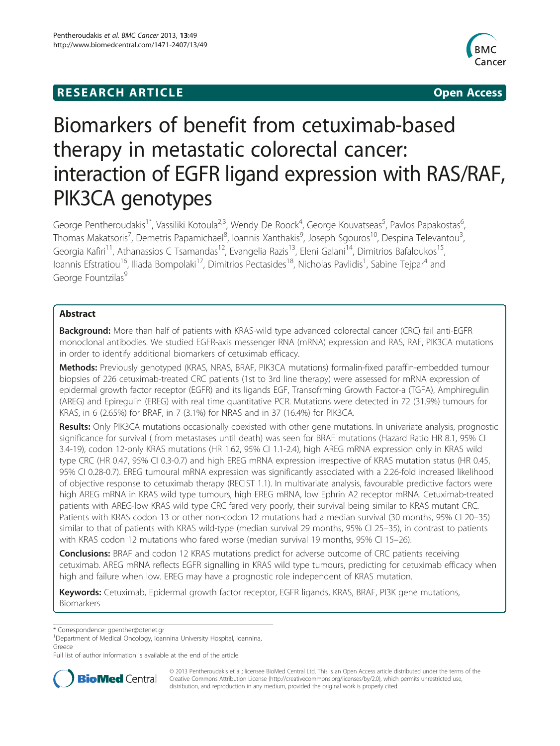# **RESEARCH ARTICLE Example 2014 12:30 THE Open Access**



# Biomarkers of benefit from cetuximab-based therapy in metastatic colorectal cancer: interaction of EGFR ligand expression with RAS/RAF, PIK3CA genotypes

George Pentheroudakis<sup>1\*</sup>, Vassiliki Kotoula<sup>2,3</sup>, Wendy De Roock<sup>4</sup>, George Kouvatseas<sup>5</sup>, Pavlos Papakostas<sup>6</sup> , Thomas Makatsoris<sup>7</sup>, Demetris Papamichael<sup>8</sup>, Ioannis Xanthakis<sup>9</sup>, Joseph Sgouros<sup>10</sup>, Despina Televantou<sup>3</sup> , Georgia Kafiri<sup>11</sup>, Athanassios C Tsamandas<sup>12</sup>, Evangelia Razis<sup>13</sup>, Eleni Galani<sup>14</sup>, Dimitrios Bafaloukos<sup>15</sup>, Ioannis Efstratiou<sup>16</sup>, Iliada Bompolaki<sup>17</sup>, Dimitrios Pectasides<sup>18</sup>, Nicholas Pavlidis<sup>1</sup>, Sabine Tejpar<sup>4</sup> and George Fountzilas<sup>9</sup>

# Abstract

**Background:** More than half of patients with KRAS-wild type advanced colorectal cancer (CRC) fail anti-EGFR monoclonal antibodies. We studied EGFR-axis messenger RNA (mRNA) expression and RAS, RAF, PIK3CA mutations in order to identify additional biomarkers of cetuximab efficacy.

Methods: Previously genotyped (KRAS, NRAS, BRAF, PIK3CA mutations) formalin-fixed paraffin-embedded tumour biopsies of 226 cetuximab-treated CRC patients (1st to 3rd line therapy) were assessed for mRNA expression of epidermal growth factor receptor (EGFR) and its ligands EGF, Transofrming Growth Factor-a (TGFA), Amphiregulin (AREG) and Epiregulin (EREG) with real time quantitative PCR. Mutations were detected in 72 (31.9%) tumours for KRAS, in 6 (2.65%) for BRAF, in 7 (3.1%) for NRAS and in 37 (16.4%) for PIK3CA.

Results: Only PIK3CA mutations occasionally coexisted with other gene mutations. In univariate analysis, prognostic significance for survival ( from metastases until death) was seen for BRAF mutations (Hazard Ratio HR 8.1, 95% CI 3.4-19), codon 12-only KRAS mutations (HR 1.62, 95% CI 1.1-2.4), high AREG mRNA expression only in KRAS wild type CRC (HR 0.47, 95% CI 0.3-0.7) and high EREG mRNA expression irrespective of KRAS mutation status (HR 0.45, 95% CI 0.28-0.7). EREG tumoural mRNA expression was significantly associated with a 2.26-fold increased likelihood of objective response to cetuximab therapy (RECIST 1.1). In multivariate analysis, favourable predictive factors were high AREG mRNA in KRAS wild type tumours, high EREG mRNA, low Ephrin A2 receptor mRNA. Cetuximab-treated patients with AREG-low KRAS wild type CRC fared very poorly, their survival being similar to KRAS mutant CRC. Patients with KRAS codon 13 or other non-codon 12 mutations had a median survival (30 months, 95% CI 20–35) similar to that of patients with KRAS wild-type (median survival 29 months, 95% CI 25–35), in contrast to patients with KRAS codon 12 mutations who fared worse (median survival 19 months, 95% CI 15–26).

**Conclusions:** BRAF and codon 12 KRAS mutations predict for adverse outcome of CRC patients receiving cetuximab. AREG mRNA reflects EGFR signalling in KRAS wild type tumours, predicting for cetuximab efficacy when high and failure when low. EREG may have a prognostic role independent of KRAS mutation.

Keywords: Cetuximab, Epidermal growth factor receptor, EGFR ligands, KRAS, BRAF, PI3K gene mutations, Biomarkers

\* Correspondence: [gpenther@otenet.gr](mailto:gpenther@otenet.gr) <sup>1</sup>

Full list of author information is available at the end of the article



© 2013 Pentheroudakis et al.; licensee BioMed Central Ltd. This is an Open Access article distributed under the terms of the Creative Commons Attribution License (<http://creativecommons.org/licenses/by/2.0>), which permits unrestricted use, distribution, and reproduction in any medium, provided the original work is properly cited.

<sup>&</sup>lt;sup>1</sup>Department of Medical Oncology, Ioannina University Hospital, Ioannina, Greece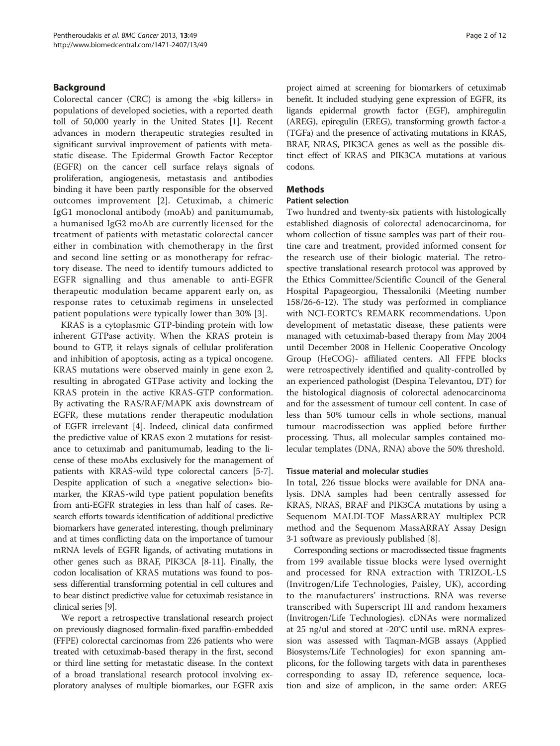# Background

Colorectal cancer (CRC) is among the «big killers» in populations of developed societies, with a reported death toll of 50,000 yearly in the United States [\[1\]](#page-10-0). Recent advances in modern therapeutic strategies resulted in significant survival improvement of patients with metastatic disease. The Epidermal Growth Factor Receptor (EGFR) on the cancer cell surface relays signals of proliferation, angiogenesis, metastasis and antibodies binding it have been partly responsible for the observed outcomes improvement [[2\]](#page-10-0). Cetuximab, a chimeric IgG1 monoclonal antibody (moAb) and panitumumab, a humanised IgG2 moAb are currently licensed for the treatment of patients with metastatic colorectal cancer either in combination with chemotherapy in the first and second line setting or as monotherapy for refractory disease. The need to identify tumours addicted to EGFR signalling and thus amenable to anti-EGFR therapeutic modulation became apparent early on, as response rates to cetuximab regimens in unselected patient populations were typically lower than 30% [[3\]](#page-10-0).

KRAS is a cytoplasmic GTP-binding protein with low inherent GTPase activity. When the KRAS protein is bound to GTP, it relays signals of cellular proliferation and inhibition of apoptosis, acting as a typical oncogene. KRAS mutations were observed mainly in gene exon 2, resulting in abrogated GTPase activity and locking the KRAS protein in the active KRAS-GTP conformation. By activating the RAS/RAF/MAPK axis downstream of EGFR, these mutations render therapeutic modulation of EGFR irrelevant [\[4](#page-10-0)]. Indeed, clinical data confirmed the predictive value of KRAS exon 2 mutations for resistance to cetuximab and panitumumab, leading to the license of these moAbs exclusively for the management of patients with KRAS-wild type colorectal cancers [\[5](#page-10-0)-[7](#page-10-0)]. Despite application of such a «negative selection» biomarker, the KRAS-wild type patient population benefits from anti-EGFR strategies in less than half of cases. Research efforts towards identification of additional predictive biomarkers have generated interesting, though preliminary and at times conflicting data on the importance of tumour mRNA levels of EGFR ligands, of activating mutations in other genes such as BRAF, PIK3CA [\[8-11\]](#page-10-0). Finally, the codon localisation of KRAS mutations was found to possess differential transforming potential in cell cultures and to bear distinct predictive value for cetuximab resistance in clinical series [\[9](#page-10-0)].

We report a retrospective translational research project on previously diagnosed formalin-fixed paraffin-embedded (FFPE) colorectal carcinomas from 226 patients who were treated with cetuximab-based therapy in the first, second or third line setting for metastatic disease. In the context of a broad translational research protocol involving exploratory analyses of multiple biomarkes, our EGFR axis

project aimed at screening for biomarkers of cetuximab benefit. It included studying gene expression of EGFR, its ligands epidermal growth factor (EGF), amphiregulin (AREG), epiregulin (EREG), transforming growth factor-a (TGFa) and the presence of activating mutations in KRAS, BRAF, NRAS, PIK3CA genes as well as the possible distinct effect of KRAS and PIK3CA mutations at various codons.

# **Methods**

# Patient selection

Two hundred and twenty-six patients with histologically established diagnosis of colorectal adenocarcinoma, for whom collection of tissue samples was part of their routine care and treatment, provided informed consent for the research use of their biologic material. The retrospective translational research protocol was approved by the Ethics Committee/Scientific Council of the General Hospital Papageorgiou, Thessaloniki (Meeting number 158/26-6-12). The study was performed in compliance with NCI-EORTC's REMARK recommendations. Upon development of metastatic disease, these patients were managed with cetuximab-based therapy from May 2004 until December 2008 in Hellenic Cooperative Oncology Group (HeCOG)- affiliated centers. All FFPE blocks were retrospectively identified and quality-controlled by an experienced pathologist (Despina Televantou, DT) for the histological diagnosis of colorectal adenocarcinoma and for the assessment of tumour cell content. In case of less than 50% tumour cells in whole sections, manual tumour macrodissection was applied before further processing. Thus, all molecular samples contained molecular templates (DNA, RNA) above the 50% threshold.

# Tissue material and molecular studies

In total, 226 tissue blocks were available for DNA analysis. DNA samples had been centrally assessed for KRAS, NRAS, BRAF and PIK3CA mutations by using a Sequenom MALDI-TOF MassARRAY multiplex PCR method and the Sequenom MassARRAY Assay Design 3·1 software as previously published [\[8\]](#page-10-0).

Corresponding sections or macrodissected tissue fragments from 199 available tissue blocks were lysed overnight and processed for RNA extraction with TRIZOL-LS (Invitrogen/Life Technologies, Paisley, UK), according to the manufacturers' instructions. RNA was reverse transcribed with Superscript III and random hexamers (Invitrogen/Life Technologies). cDNAs were normalized at 25 ng/ul and stored at -20°C until use. mRNA expression was assessed with Taqman-MGB assays (Applied Biosystems/Life Technologies) for exon spanning amplicons, for the following targets with data in parentheses corresponding to assay ID, reference sequence, location and size of amplicon, in the same order: AREG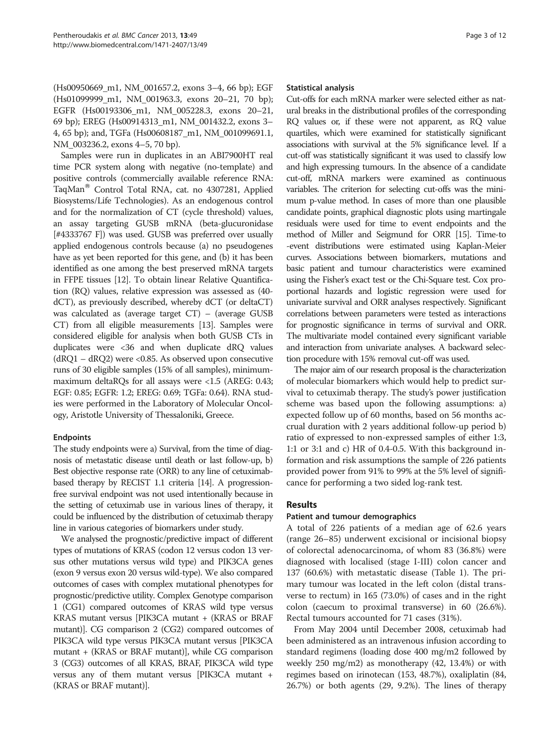(Hs00950669\_m1, NM\_001657.2, exons 3–4, 66 bp); EGF (Hs01099999\_m1, NM\_001963.3, exons 20–21, 70 bp); EGFR (Hs00193306\_m1, NM\_005228.3, exons 20–21, 69 bp); EREG (Hs00914313\_m1, NM\_001432.2, exons 3– 4, 65 bp); and, TGFa (Hs00608187\_m1, NM\_001099691.1, NM\_003236.2, exons 4–5, 70 bp).

Samples were run in duplicates in an ABI7900HT real time PCR system along with negative (no-template) and positive controls (commercially available reference RNA: TaqMan<sup>®</sup> Control Total RNA, cat. no 4307281, Applied Biosystems/Life Technologies). As an endogenous control and for the normalization of CT (cycle threshold) values, an assay targeting GUSB mRNA (beta-glucuronidase [#4333767 F]) was used. GUSB was preferred over usually applied endogenous controls because (a) no pseudogenes have as yet been reported for this gene, and (b) it has been identified as one among the best preserved mRNA targets in FFPE tissues [\[12\]](#page-10-0). To obtain linear Relative Quantification (RQ) values, relative expression was assessed as (40 dCT), as previously described, whereby dCT (or deltaCT) was calculated as (average target CT) – (average GUSB CT) from all eligible measurements [[13](#page-10-0)]. Samples were considered eligible for analysis when both GUSB CTs in duplicates were <36 and when duplicate dRQ values (dRQ1 – dRQ2) were <0.85. As observed upon consecutive runs of 30 eligible samples (15% of all samples), minimummaximum deltaRQs for all assays were <1.5 (AREG: 0.43; EGF: 0.85; EGFR: 1.2; EREG: 0.69; TGFa: 0.64). RNA studies were performed in the Laboratory of Molecular Oncology, Aristotle University of Thessaloniki, Greece.

# Endpoints

The study endpoints were a) Survival, from the time of diagnosis of metastatic disease until death or last follow-up, b) Best objective response rate (ORR) to any line of cetuximabbased therapy by RECIST 1.1 criteria [\[14\]](#page-10-0). A progressionfree survival endpoint was not used intentionally because in the setting of cetuximab use in various lines of therapy, it could be influenced by the distribution of cetuximab therapy line in various categories of biomarkers under study.

We analysed the prognostic/predictive impact of different types of mutations of KRAS (codon 12 versus codon 13 versus other mutations versus wild type) and PIK3CA genes (exon 9 versus exon 20 versus wild-type). We also compared outcomes of cases with complex mutational phenotypes for prognostic/predictive utility. Complex Genotype comparison 1 (CG1) compared outcomes of KRAS wild type versus KRAS mutant versus [PIK3CA mutant + (KRAS or BRAF mutant)]. CG comparison 2 (CG2) compared outcomes of PIK3CA wild type versus PIK3CA mutant versus [PIK3CA mutant + (KRAS or BRAF mutant)], while CG comparison 3 (CG3) outcomes of all KRAS, BRAF, PIK3CA wild type versus any of them mutant versus [PIK3CA mutant + (KRAS or BRAF mutant)].

#### Statistical analysis

Cut-offs for each mRNA marker were selected either as natural breaks in the distributional profiles of the corresponding RQ values or, if these were not apparent, as RQ value quartiles, which were examined for statistically significant associations with survival at the 5% significance level. If a cut-off was statistically significant it was used to classify low and high expressing tumours. In the absence of a candidate cut-off, mRNA markers were examined as continuous variables. The criterion for selecting cut-offs was the minimum p-value method. In cases of more than one plausible candidate points, graphical diagnostic plots using martingale residuals were used for time to event endpoints and the method of Miller and Seigmund for ORR [\[15\]](#page-10-0). Time-to -event distributions were estimated using Kaplan-Meier curves. Associations between biomarkers, mutations and basic patient and tumour characteristics were examined using the Fisher's exact test or the Chi-Square test. Cox proportional hazards and logistic regression were used for univariate survival and ORR analyses respectively. Significant correlations between parameters were tested as interactions for prognostic significance in terms of survival and ORR. The multivariate model contained every significant variable and interaction from univariate analyses. A backward selection procedure with 15% removal cut-off was used.

The major aim of our research proposal is the characterization of molecular biomarkers which would help to predict survival to cetuximab therapy. The study's power justification scheme was based upon the following assumptions: a) expected follow up of 60 months, based on 56 months accrual duration with 2 years additional follow-up period b) ratio of expressed to non-expressed samples of either 1:3, 1:1 or 3:1 and c) HR of 0.4-0.5. With this background information and risk assumptions the sample of 226 patients provided power from 91% to 99% at the 5% level of significance for performing a two sided log-rank test.

# Results

# Patient and tumour demographics

A total of 226 patients of a median age of 62.6 years (range 26–85) underwent excisional or incisional biopsy of colorectal adenocarcinoma, of whom 83 (36.8%) were diagnosed with localised (stage I-III) colon cancer and 137 (60.6%) with metastatic disease (Table [1\)](#page-3-0). The primary tumour was located in the left colon (distal transverse to rectum) in 165 (73.0%) of cases and in the right colon (caecum to proximal transverse) in 60 (26.6%). Rectal tumours accounted for 71 cases (31%).

From May 2004 until December 2008, cetuximab had been administered as an intravenous infusion according to standard regimens (loading dose 400 mg/m2 followed by weekly 250 mg/m2) as monotherapy (42, 13.4%) or with regimes based on irinotecan (153, 48.7%), oxaliplatin (84, 26.7%) or both agents (29, 9.2%). The lines of therapy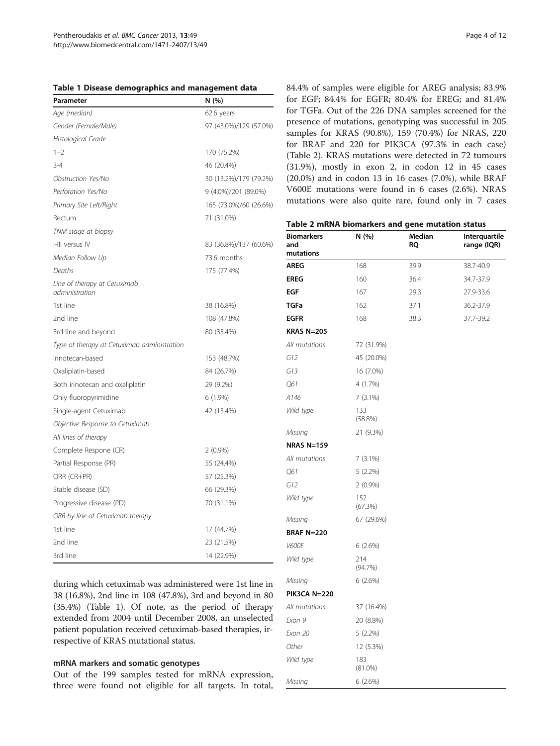<span id="page-3-0"></span>

|  |  |  | Table 1 Disease demographics and management data |  |  |  |
|--|--|--|--------------------------------------------------|--|--|--|
|--|--|--|--------------------------------------------------|--|--|--|

| Parameter                                      | N (%)                  |
|------------------------------------------------|------------------------|
| Age (median)                                   | 62.6 years             |
| Gender (Female/Male)                           | 97 (43.0%)/129 (57.0%) |
| Histological Grade                             |                        |
| $1 - 2$                                        | 170 (75.2%)            |
| $3 - 4$                                        | 46 (20.4%)             |
| Obstruction Yes/No                             | 30 (13.2%)/179 (79.2%) |
| Perforation Yes/No                             | 9 (4.0%)/201 (89.0%)   |
| Primary Site Left/Right                        | 165 (73.0%)/60 (26.6%) |
| Rectum                                         | 71 (31.0%)             |
| TNM stage at biopsy                            |                        |
| I-III versus IV                                | 83 (36.8%)/137 (60.6%) |
| Median Follow Up                               | 73.6 months            |
| Deaths                                         | 175 (77.4%)            |
| Line of therapy at Cetuximab<br>administration |                        |
| 1st line                                       | 38 (16.8%)             |
| 2nd line                                       | 108 (47.8%)            |
| 3rd line and beyond                            | 80 (35.4%)             |
| Type of therapy at Cetuximab administration    |                        |
| Irinotecan-based                               | 153 (48.7%)            |
| Oxaliplatin-based                              | 84 (26.7%)             |
| Both irinotecan and oxaliplatin                | 29 (9.2%)              |
| Only fluoropyrimidine                          | $6(1.9\%)$             |
| Single-agent Cetuximab                         | 42 (13.4%)             |
| Objective Response to Cetuximab                |                        |
| All lines of therapy                           |                        |
| Complete Respone (CR)                          | $2(0.9\%)$             |
| Partial Response (PR)                          | 55 (24.4%)             |
| ORR (CR+PR)                                    | 57 (25.3%)             |
| Stable disease (SD)                            | 66 (29.3%)             |
| Progressive disease (PD)                       | 70 (31.1%)             |
| ORR by line of Cetuximab therapy               |                        |
| 1st line                                       | 17 (44.7%)             |
| 2nd line                                       | 23 (21.5%)             |
| 3rd line                                       | 14 (22.9%)             |

during which cetuximab was administered were 1st line in 38 (16.8%), 2nd line in 108 (47.8%), 3rd and beyond in 80 (35.4%) (Table 1). Of note, as the period of therapy extended from 2004 until December 2008, an unselected patient population received cetuximab-based therapies, irrespective of KRAS mutational status.

#### mRNA markers and somatic genotypes

Out of the 199 samples tested for mRNA expression, three were found not eligible for all targets. In total,

84.4% of samples were eligible for AREG analysis; 83.9% for EGF; 84.4% for EGFR; 80.4% for EREG; and 81.4% for TGFa. Out of the 226 DNA samples screened for the presence of mutations, genotyping was successful in 205 samples for KRAS (90.8%), 159 (70.4%) for NRAS, 220 for BRAF and 220 for PIK3CA (97.3% in each case) (Table 2). KRAS mutations were detected in 72 tumours (31.9%), mostly in exon 2, in codon 12 in 45 cases (20.0%) and in codon 13 in 16 cases (7.0%), while BRAF V600E mutations were found in 6 cases (2.6%). NRAS mutations were also quite rare, found only in 7 cases

| Table 2 mRNA biomarkers and gene mutation status |  |  |  |  |
|--------------------------------------------------|--|--|--|--|
|--------------------------------------------------|--|--|--|--|

| <b>Biomarkers</b><br>and<br>mutations | N (%)             | Median<br><b>RQ</b> | Interquartile<br>range (IQR) |
|---------------------------------------|-------------------|---------------------|------------------------------|
| <b>AREG</b>                           | 168               | 39.9                | 38.7-40.9                    |
| <b>EREG</b>                           | 160               | 36.4                | 34.7-37.9                    |
| <b>EGF</b>                            | 167               | 29.3                | 27.9-33.6                    |
| <b>TGFa</b>                           | 162               | 37.1                | 36.2-37.9                    |
| <b>EGFR</b>                           | 168               | 38.3                | 37.7-39.2                    |
| <b>KRAS N=205</b>                     |                   |                     |                              |
| All mutations                         | 72 (31.9%)        |                     |                              |
| G12                                   | 45 (20.0%)        |                     |                              |
| G13                                   | 16 (7.0%)         |                     |                              |
| 061                                   | 4 (1.7%)          |                     |                              |
| A146                                  | 7(3.1%)           |                     |                              |
| Wild type                             | 133<br>(58.8%)    |                     |                              |
| Missing                               | 21 (9.3%)         |                     |                              |
| <b>NRAS N=159</b>                     |                   |                     |                              |
| All mutations                         | 7(3.1%)           |                     |                              |
| 061                                   | 5(2.2%)           |                     |                              |
| G12                                   | $2(0.9\%)$        |                     |                              |
| Wild type                             | 152<br>(67.3%)    |                     |                              |
| Missing                               | 67 (29.6%)        |                     |                              |
| <b>BRAF N=220</b>                     |                   |                     |                              |
| <b>V600E</b>                          | 6(2.6%)           |                     |                              |
| Wild type                             | 214<br>(94.7%)    |                     |                              |
| Missing                               | 6(2.6%)           |                     |                              |
| <b>PIK3CA N=220</b>                   |                   |                     |                              |
| All mutations                         | 37 (16.4%)        |                     |                              |
| Exon 9                                | 20 (8.8%)         |                     |                              |
| Exon 20                               | $5(2.2\%)$        |                     |                              |
| Other                                 | 12 (5.3%)         |                     |                              |
| Wild type                             | 183<br>$(81.0\%)$ |                     |                              |
| Missing                               | 6(2.6%)           |                     |                              |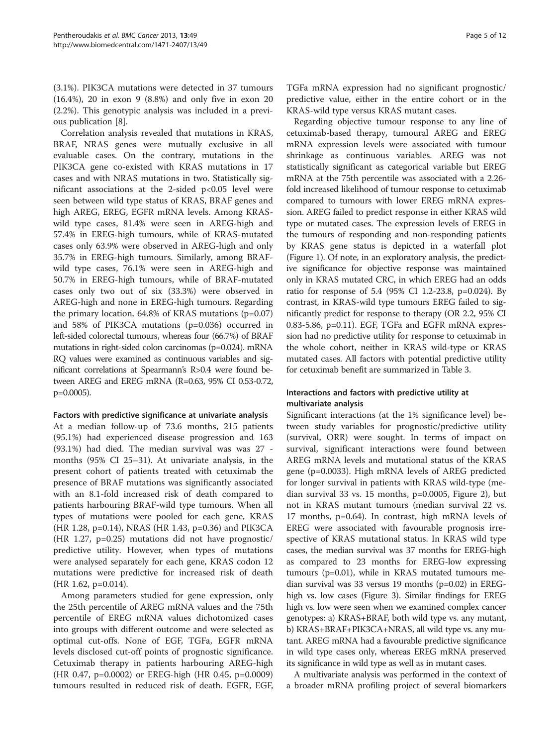(3.1%). PIK3CA mutations were detected in 37 tumours (16.4%), 20 in exon 9 (8.8%) and only five in exon 20 (2.2%). This genotypic analysis was included in a previous publication [[8\]](#page-10-0).

Correlation analysis revealed that mutations in KRAS, BRAF, NRAS genes were mutually exclusive in all evaluable cases. On the contrary, mutations in the PIK3CA gene co-existed with KRAS mutations in 17 cases and with NRAS mutations in two. Statistically significant associations at the 2-sided p<0.05 level were seen between wild type status of KRAS, BRAF genes and high AREG, EREG, EGFR mRNA levels. Among KRASwild type cases, 81.4% were seen in AREG-high and 57.4% in EREG-high tumours, while of KRAS-mutated cases only 63.9% were observed in AREG-high and only 35.7% in EREG-high tumours. Similarly, among BRAFwild type cases, 76.1% were seen in AREG-high and 50.7% in EREG-high tumours, while of BRAF-mutated cases only two out of six (33.3%) were observed in AREG-high and none in EREG-high tumours. Regarding the primary location, 64.8% of KRAS mutations (p=0.07) and 58% of PIK3CA mutations (p=0.036) occurred in left-sided colorectal tumours, whereas four (66.7%) of BRAF mutations in right-sided colon carcinomas (p=0.024). mRNA RQ values were examined as continuous variables and significant correlations at Spearmann's R>0.4 were found between AREG and EREG mRNA (R=0.63, 95% CI 0.53-0.72, p=0.0005).

# Factors with predictive significance at univariate analysis

At a median follow-up of 73.6 months, 215 patients (95.1%) had experienced disease progression and 163 (93.1%) had died. The median survival was was 27 months (95% CI 25–31). At univariate analysis, in the present cohort of patients treated with cetuximab the presence of BRAF mutations was significantly associated with an 8.1-fold increased risk of death compared to patients harbouring BRAF-wild type tumours. When all types of mutations were pooled for each gene, KRAS (HR 1.28, p=0.14), NRAS (HR 1.43, p=0.36) and PIK3CA (HR 1.27, p=0.25) mutations did not have prognostic/ predictive utility. However, when types of mutations were analysed separately for each gene, KRAS codon 12 mutations were predictive for increased risk of death (HR 1.62, p=0.014).

Among parameters studied for gene expression, only the 25th percentile of AREG mRNA values and the 75th percentile of EREG mRNA values dichotomized cases into groups with different outcome and were selected as optimal cut-offs. None of EGF, TGFa, EGFR mRNA levels disclosed cut-off points of prognostic significance. Cetuximab therapy in patients harbouring AREG-high (HR 0.47, p=0.0002) or EREG-high (HR 0.45, p=0.0009) tumours resulted in reduced risk of death. EGFR, EGF, TGFa mRNA expression had no significant prognostic/ predictive value, either in the entire cohort or in the KRAS-wild type versus KRAS mutant cases.

Regarding objective tumour response to any line of cetuximab-based therapy, tumoural AREG and EREG mRNA expression levels were associated with tumour shrinkage as continuous variables. AREG was not statistically significant as categorical variable but EREG mRNA at the 75th percentile was associated with a 2.26 fold increased likelihood of tumour response to cetuximab compared to tumours with lower EREG mRNA expression. AREG failed to predict response in either KRAS wild type or mutated cases. The expression levels of EREG in the tumours of responding and non-responding patients by KRAS gene status is depicted in a waterfall plot (Figure [1\)](#page-5-0). Of note, in an exploratory analysis, the predictive significance for objective response was maintained only in KRAS mutated CRC, in which EREG had an odds ratio for response of 5.4 (95% CI 1.2-23.8, p=0.024). By contrast, in KRAS-wild type tumours EREG failed to significantly predict for response to therapy (OR 2.2, 95% CI 0.83-5.86, p=0.11). EGF, TGFa and EGFR mRNA expression had no predictive utility for response to cetuximab in the whole cohort, neither in KRAS wild-type or KRAS mutated cases. All factors with potential predictive utility for cetuximab benefit are summarized in Table [3](#page-6-0).

# Interactions and factors with predictive utility at multivariate analysis

Significant interactions (at the 1% significance level) between study variables for prognostic/predictive utility (survival, ORR) were sought. In terms of impact on survival, significant interactions were found between AREG mRNA levels and mutational status of the KRAS gene (p=0.0033). High mRNA levels of AREG predicted for longer survival in patients with KRAS wild-type (median survival 33 vs. 15 months, p=0.0005, Figure [2](#page-7-0)), but not in KRAS mutant tumours (median survival 22 vs. 17 months, p=0.64). In contrast, high mRNA levels of EREG were associated with favourable prognosis irrespective of KRAS mutational status. In KRAS wild type cases, the median survival was 37 months for EREG-high as compared to 23 months for EREG-low expressing tumours (p=0.01), while in KRAS mutated tumours median survival was 33 versus 19 months (p=0.02) in EREGhigh vs. low cases (Figure [3](#page-8-0)). Similar findings for EREG high vs. low were seen when we examined complex cancer genotypes: a) KRAS+BRAF, both wild type vs. any mutant, b) KRAS+BRAF+PIK3CA+NRAS, all wild type vs. any mutant. AREG mRNA had a favourable predictive significance in wild type cases only, whereas EREG mRNA preserved its significance in wild type as well as in mutant cases.

A multivariate analysis was performed in the context of a broader mRNA profiling project of several biomarkers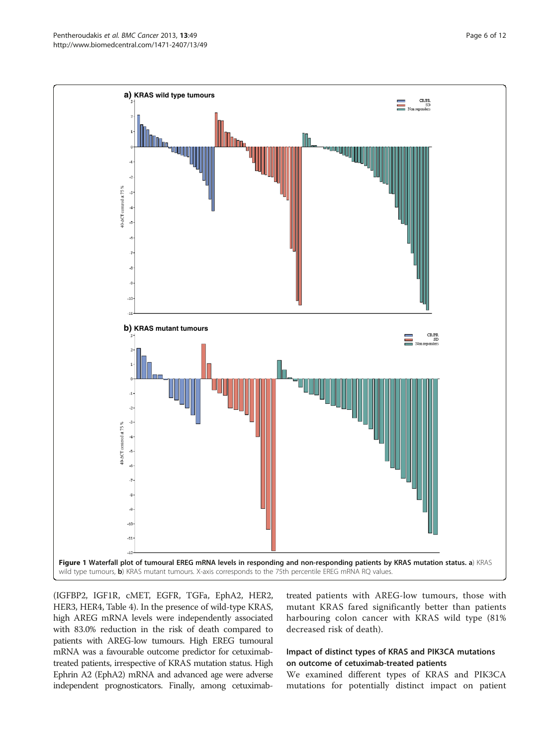<span id="page-5-0"></span>

(IGFBP2, IGF1R, cMET, EGFR, TGFa, EphA2, HER2, HER3, HER4, Table [4\)](#page-9-0). In the presence of wild-type KRAS, high AREG mRNA levels were independently associated with 83.0% reduction in the risk of death compared to patients with AREG-low tumours. High EREG tumoural mRNA was a favourable outcome predictor for cetuximabtreated patients, irrespective of KRAS mutation status. High Ephrin A2 (EphA2) mRNA and advanced age were adverse independent prognosticators. Finally, among cetuximab-

treated patients with AREG-low tumours, those with mutant KRAS fared significantly better than patients harbouring colon cancer with KRAS wild type (81% decreased risk of death).

# Impact of distinct types of KRAS and PIK3CA mutations on outcome of cetuximab-treated patients

We examined different types of KRAS and PIK3CA mutations for potentially distinct impact on patient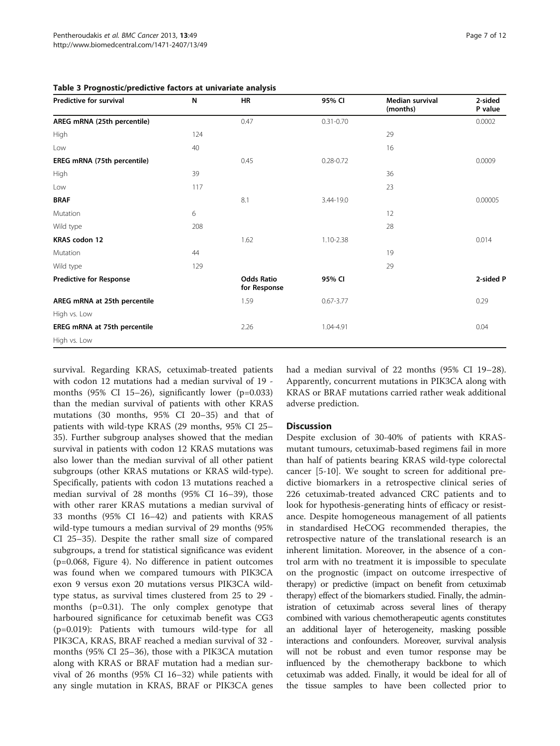| Predictive for survival        | N   | <b>HR</b>                         | 95% CI        | Median survival<br>(months) | 2-sided<br>P value |
|--------------------------------|-----|-----------------------------------|---------------|-----------------------------|--------------------|
| AREG mRNA (25th percentile)    |     | 0.47                              | $0.31 - 0.70$ |                             | 0.0002             |
| High                           | 124 |                                   |               | 29                          |                    |
| Low                            | 40  |                                   |               | 16                          |                    |
| EREG mRNA (75th percentile)    |     | 0.45                              | $0.28 - 0.72$ |                             | 0.0009             |
| High                           | 39  |                                   |               | 36                          |                    |
| Low                            | 117 |                                   |               | 23                          |                    |
| <b>BRAF</b>                    |     | 8.1                               | 3.44-19.0     |                             | 0.00005            |
| Mutation                       | 6   |                                   |               | 12                          |                    |
| Wild type                      | 208 |                                   |               | 28                          |                    |
| KRAS codon 12                  |     | 1.62                              | 1.10-2.38     |                             | 0.014              |
| Mutation                       | 44  |                                   |               | 19                          |                    |
| Wild type                      | 129 |                                   |               | 29                          |                    |
| <b>Predictive for Response</b> |     | <b>Odds Ratio</b><br>for Response | 95% CI        |                             | 2-sided P          |
| AREG mRNA at 25th percentile   |     | 1.59                              | $0.67 - 3.77$ |                             | 0.29               |
| High vs. Low                   |     |                                   |               |                             |                    |
| EREG mRNA at 75th percentile   |     | 2.26                              | 1.04-4.91     |                             | 0.04               |
| High vs. Low                   |     |                                   |               |                             |                    |

# <span id="page-6-0"></span>Table 3 Prognostic/predictive factors at univariate analysis

survival. Regarding KRAS, cetuximab-treated patients with codon 12 mutations had a median survival of 19 months (95% CI 15–26), significantly lower (p=0.033) than the median survival of patients with other KRAS mutations (30 months, 95% CI 20–35) and that of patients with wild-type KRAS (29 months, 95% CI 25– 35). Further subgroup analyses showed that the median survival in patients with codon 12 KRAS mutations was also lower than the median survival of all other patient subgroups (other KRAS mutations or KRAS wild-type). Specifically, patients with codon 13 mutations reached a median survival of 28 months (95% CI 16–39), those with other rarer KRAS mutations a median survival of 33 months (95% CI 16–42) and patients with KRAS wild-type tumours a median survival of 29 months (95% CI 25–35). Despite the rather small size of compared subgroups, a trend for statistical significance was evident (p=0.068, Figure [4](#page-9-0)). No difference in patient outcomes was found when we compared tumours with PIK3CA exon 9 versus exon 20 mutations versus PIK3CA wildtype status, as survival times clustered from 25 to 29 months (p=0.31). The only complex genotype that harboured significance for cetuximab benefit was CG3 (p=0.019): Patients with tumours wild-type for all PIK3CA, KRAS, BRAF reached a median survival of 32 months (95% CI 25–36), those with a PIK3CA mutation along with KRAS or BRAF mutation had a median survival of 26 months (95% CI 16–32) while patients with any single mutation in KRAS, BRAF or PIK3CA genes had a median survival of 22 months (95% CI 19–28). Apparently, concurrent mutations in PIK3CA along with KRAS or BRAF mutations carried rather weak additional adverse prediction.

# **Discussion**

Despite exclusion of 30-40% of patients with KRASmutant tumours, cetuximab-based regimens fail in more than half of patients bearing KRAS wild-type colorectal cancer [[5-10](#page-10-0)]. We sought to screen for additional predictive biomarkers in a retrospective clinical series of 226 cetuximab-treated advanced CRC patients and to look for hypothesis-generating hints of efficacy or resistance. Despite homogeneous management of all patients in standardised HeCOG recommended therapies, the retrospective nature of the translational research is an inherent limitation. Moreover, in the absence of a control arm with no treatment it is impossible to speculate on the prognostic (impact on outcome irrespective of therapy) or predictive (impact on benefit from cetuximab therapy) effect of the biomarkers studied. Finally, the administration of cetuximab across several lines of therapy combined with various chemotherapeutic agents constitutes an additional layer of heterogeneity, masking possible interactions and confounders. Moreover, survival analysis will not be robust and even tumor response may be influenced by the chemotherapy backbone to which cetuximab was added. Finally, it would be ideal for all of the tissue samples to have been collected prior to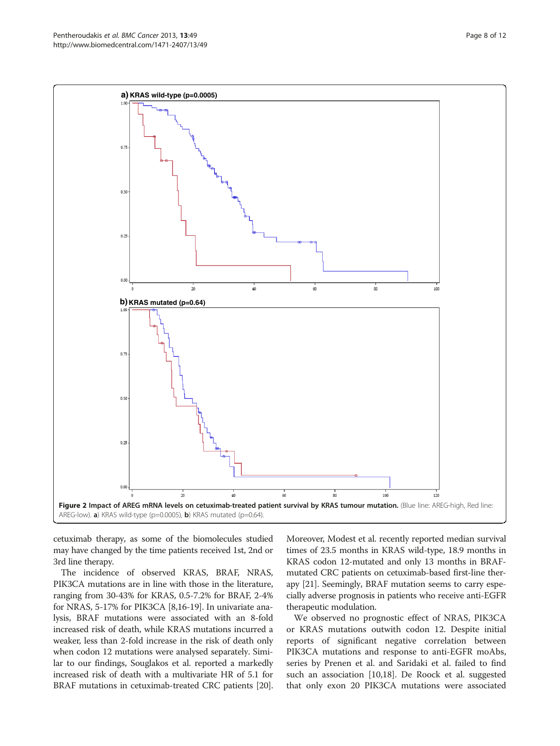<span id="page-7-0"></span>

cetuximab therapy, as some of the biomolecules studied may have changed by the time patients received 1st, 2nd or 3rd line therapy.

The incidence of observed KRAS, BRAF, NRAS, PIK3CA mutations are in line with those in the literature, ranging from 30-43% for KRAS, 0.5-7.2% for BRAF, 2-4% for NRAS, 5-17% for PIK3CA [\[8,16-](#page-10-0)[19\]](#page-11-0). In univariate analysis, BRAF mutations were associated with an 8-fold increased risk of death, while KRAS mutations incurred a weaker, less than 2-fold increase in the risk of death only when codon 12 mutations were analysed separately. Similar to our findings, Souglakos et al. reported a markedly increased risk of death with a multivariate HR of 5.1 for BRAF mutations in cetuximab-treated CRC patients [[20](#page-11-0)].

Moreover, Modest et al. recently reported median survival times of 23.5 months in KRAS wild-type, 18.9 months in KRAS codon 12-mutated and only 13 months in BRAFmutated CRC patients on cetuximab-based first-line therapy [[21](#page-11-0)]. Seemingly, BRAF mutation seems to carry especially adverse prognosis in patients who receive anti-EGFR therapeutic modulation.

We observed no prognostic effect of NRAS, PIK3CA or KRAS mutations outwith codon 12. Despite initial reports of significant negative correlation between PIK3CA mutations and response to anti-EGFR moAbs, series by Prenen et al. and Saridaki et al. failed to find such an association [\[10](#page-10-0)[,18\]](#page-11-0). De Roock et al. suggested that only exon 20 PIK3CA mutations were associated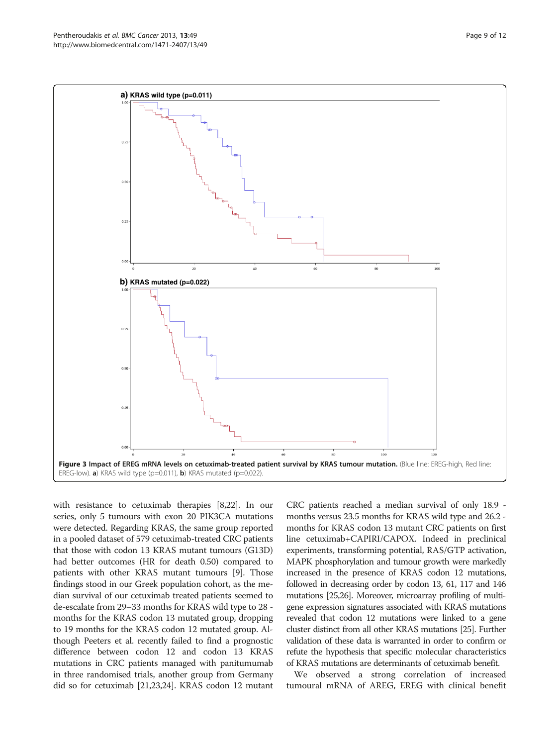<span id="page-8-0"></span>

with resistance to cetuximab therapies [[8,](#page-10-0)[22](#page-11-0)]. In our series, only 5 tumours with exon 20 PIK3CA mutations were detected. Regarding KRAS, the same group reported in a pooled dataset of 579 cetuximab-treated CRC patients that those with codon 13 KRAS mutant tumours (G13D) had better outcomes (HR for death 0.50) compared to patients with other KRAS mutant tumours [\[9](#page-10-0)]. Those findings stood in our Greek population cohort, as the median survival of our cetuximab treated patients seemed to de-escalate from 29–33 months for KRAS wild type to 28 months for the KRAS codon 13 mutated group, dropping to 19 months for the KRAS codon 12 mutated group. Although Peeters et al. recently failed to find a prognostic difference between codon 12 and codon 13 KRAS mutations in CRC patients managed with panitumumab in three randomised trials, another group from Germany did so for cetuximab [\[21,23,24](#page-11-0)]. KRAS codon 12 mutant

CRC patients reached a median survival of only 18.9 months versus 23.5 months for KRAS wild type and 26.2 months for KRAS codon 13 mutant CRC patients on first line cetuximab+CAPIRI/CAPOX. Indeed in preclinical experiments, transforming potential, RAS/GTP activation, MAPK phosphorylation and tumour growth were markedly increased in the presence of KRAS codon 12 mutations, followed in decreasing order by codon 13, 61, 117 and 146 mutations [\[25,26\]](#page-11-0). Moreover, microarray profiling of multigene expression signatures associated with KRAS mutations revealed that codon 12 mutations were linked to a gene cluster distinct from all other KRAS mutations [\[25\]](#page-11-0). Further validation of these data is warranted in order to confirm or refute the hypothesis that specific molecular characteristics of KRAS mutations are determinants of cetuximab benefit.

We observed a strong correlation of increased tumoural mRNA of AREG, EREG with clinical benefit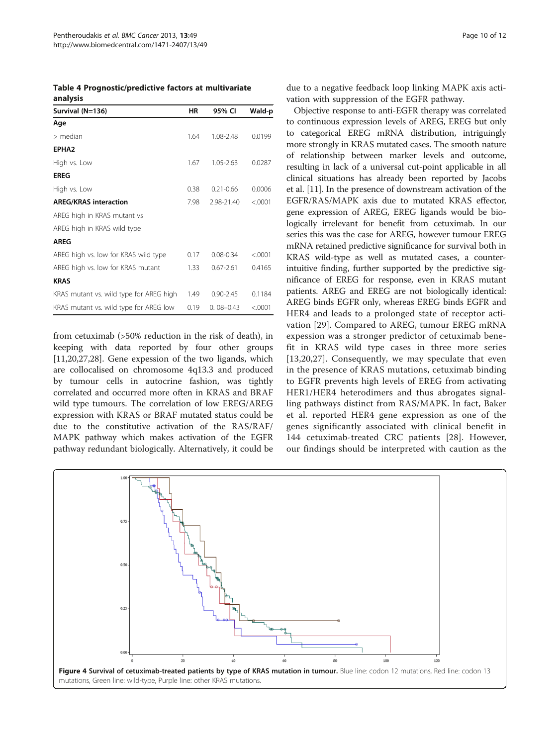<span id="page-9-0"></span>

| Table 4 Prognostic/predictive factors at multivariate |  |
|-------------------------------------------------------|--|
| analysis                                              |  |

| Survival (N=136)                        | ΗR   | 95% CI        | Wald-p  |
|-----------------------------------------|------|---------------|---------|
| Age                                     |      |               |         |
| $>$ median                              | 1.64 | 1.08-2.48     | 0.0199  |
| EPHA <sub>2</sub>                       |      |               |         |
| High vs. Low                            | 1.67 | 1.05-2.63     | 0.0287  |
| <b>EREG</b>                             |      |               |         |
| High vs. Low                            | 0.38 | $0.21 - 0.66$ | 0.0006  |
| <b>AREG/KRAS interaction</b>            | 7.98 | 2.98-21.40    | < .0001 |
| AREG high in KRAS mutant vs             |      |               |         |
| AREG high in KRAS wild type             |      |               |         |
| <b>AREG</b>                             |      |               |         |
| AREG high vs. low for KRAS wild type    | 0.17 | $0.08 - 0.34$ | < .0001 |
| AREG high vs. low for KRAS mutant       | 1.33 | $0.67 - 2.61$ | 0.4165  |
| <b>KRAS</b>                             |      |               |         |
| KRAS mutant vs. wild type for AREG high | 1.49 | $0.90 - 2.45$ | 0.1184  |
| KRAS mutant vs. wild type for AREG low  | 0.19 | $0.08 - 0.43$ | < 0001  |

from cetuximab (>50% reduction in the risk of death), in keeping with data reported by four other groups [[11,](#page-10-0)[20,27,28\]](#page-11-0). Gene expession of the two ligands, which are collocalised on chromosome 4q13.3 and produced by tumour cells in autocrine fashion, was tightly correlated and occurred more often in KRAS and BRAF wild type tumours. The correlation of low EREG/AREG expression with KRAS or BRAF mutated status could be due to the constitutive activation of the RAS/RAF/ MAPK pathway which makes activation of the EGFR pathway redundant biologically. Alternatively, it could be due to a negative feedback loop linking MAPK axis activation with suppression of the EGFR pathway.

Objective response to anti-EGFR therapy was correlated to continuous expression levels of AREG, EREG but only to categorical EREG mRNA distribution, intriguingly more strongly in KRAS mutated cases. The smooth nature of relationship between marker levels and outcome, resulting in lack of a universal cut-point applicable in all clinical situations has already been reported by Jacobs et al. [\[11](#page-10-0)]. In the presence of downstream activation of the EGFR/RAS/MAPK axis due to mutated KRAS effector, gene expression of AREG, EREG ligands would be biologically irrelevant for benefit from cetuximab. In our series this was the case for AREG, however tumour EREG mRNA retained predictive significance for survival both in KRAS wild-type as well as mutated cases, a counterintuitive finding, further supported by the predictive significance of EREG for response, even in KRAS mutant patients. AREG and EREG are not biologically identical: AREG binds EGFR only, whereas EREG binds EGFR and HER4 and leads to a prolonged state of receptor activation [\[29](#page-11-0)]. Compared to AREG, tumour EREG mRNA expession was a stronger predictor of cetuximab benefit in KRAS wild type cases in three more series [[13](#page-10-0)[,20,27\]](#page-11-0). Consequently, we may speculate that even in the presence of KRAS mutations, cetuximab binding to EGFR prevents high levels of EREG from activating HER1/HER4 heterodimers and thus abrogates signalling pathways distinct from RAS/MAPK. In fact, Baker et al. reported HER4 gene expression as one of the genes significantly associated with clinical benefit in 144 cetuximab-treated CRC patients [[28\]](#page-11-0). However, our findings should be interpreted with caution as the

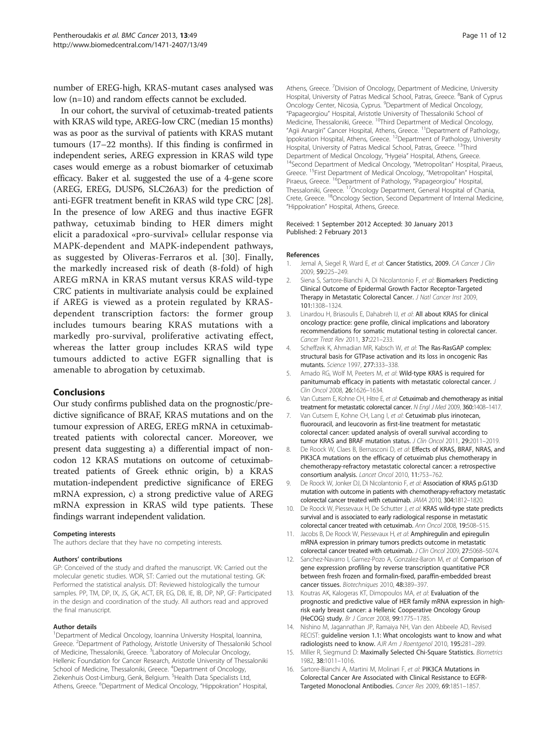<span id="page-10-0"></span>number of EREG-high, KRAS-mutant cases analysed was low (n=10) and random effects cannot be excluded.

In our cohort, the survival of cetuximab-treated patients with KRAS wild type, AREG-low CRC (median 15 months) was as poor as the survival of patients with KRAS mutant tumours (17–22 months). If this finding is confirmed in independent series, AREG expression in KRAS wild type cases would emerge as a robust biomarker of cetuximab efficacy. Baker et al. suggested the use of a 4-gene score (AREG, EREG, DUSP6, SLC26A3) for the prediction of anti-EGFR treatment benefit in KRAS wild type CRC [[28](#page-11-0)]. In the presence of low AREG and thus inactive EGFR pathway, cetuximab binding to HER dimers might elicit a paradoxical «pro-survival» cellular response via MAPK-dependent and MAPK-independent pathways, as suggested by Oliveras-Ferraros et al. [[30\]](#page-11-0). Finally, the markedly increased risk of death (8-fold) of high AREG mRNA in KRAS mutant versus KRAS wild-type CRC patients in multivariate analysis could be explained if AREG is viewed as a protein regulated by KRASdependent transcription factors: the former group includes tumours bearing KRAS mutations with a markedly pro-survival, proliferative activating effect, whereas the latter group includes KRAS wild type tumours addicted to active EGFR signalling that is amenable to abrogation by cetuximab.

# Conclusions

Our study confirms published data on the prognostic/predictive significance of BRAF, KRAS mutations and on the tumour expression of AREG, EREG mRNA in cetuximabtreated patients with colorectal cancer. Moreover, we present data suggesting a) a differential impact of noncodon 12 KRAS mutations on outcome of cetuximabtreated patients of Greek ethnic origin, b) a KRAS mutation-independent predictive significance of EREG mRNA expression, c) a strong predictive value of AREG mRNA expression in KRAS wild type patients. These findings warrant independent validation.

#### Competing interests

The authors declare that they have no competing interests.

#### Authors' contributions

GP: Conceived of the study and drafted the manuscript. VK: Carried out the molecular genetic studies. WDR, ST: Carried out the mutational testing. GK: Performed the statistical analysis. DT: Reviewed histologically the tumour samples. PP, TM, DP, IX, JS, GK, ACT, ER, EG, DB, IE, IB, DP, NP, GF: Participated in the design and coordination of the study. All authors read and approved the final manuscript.

#### Author details

<sup>1</sup>Department of Medical Oncology, Ioannina University Hospital, Ioannina, Greece. <sup>2</sup>Department of Pathology, Aristotle University of Thessaloniki School of Medicine, Thessaloniki, Greece. <sup>3</sup> Laboratory of Molecular Oncology, Hellenic Foundation for Cancer Research, Aristotle University of Thessaloniki School of Medicine, Thessaloniki, Greece. <sup>4</sup>Department of Oncology, Ziekenhuis Oost-Limburg, Genk, Belgium. <sup>5</sup>Health Data Specialists Ltd, Athens, Greece. <sup>6</sup>Department of Medical Oncology, "Hippokration" Hospital,

Athens, Greece. <sup>7</sup> Division of Oncology, Department of Medicine, University Hospital, University of Patras Medical School, Patras, Greece. <sup>8</sup>Bank of Cyprus Oncology Center, Nicosia, Cyprus. <sup>9</sup>Department of Medical Oncology, "Papageorgiou" Hospital, Aristotle University of Thessaloniki School of Medicine, Thessaloniki, Greece. 10Third Department of Medical Oncology, "Agii Anargiri" Cancer Hospital, Athens, Greece. 11Department of Pathology, Ippokration Hospital, Athens, Greece. 12Department of Pathology, University Hospital, University of Patras Medical School, Patras, Greece. <sup>13</sup>Third Department of Medical Oncology, "Hygeia" Hospital, Athens, Greece.<br><sup>14</sup>Second Department of Medical Oncology, "Metropolitan" Hospital, Piraeus, Greece. 15First Department of Medical Oncology, "Metropolitan" Hospital, Piraeus, Greece. <sup>16</sup>Department of Pathology, "Papageorgiou" Hospital, Thessaloniki, Greece. <sup>17</sup>Oncology Department, General Hospital of Chania, Crete, Greece. <sup>18</sup>Oncology Section, Second Department of Internal Medicine, "Hippokration" Hospital, Athens, Greece.

#### Received: 1 September 2012 Accepted: 30 January 2013 Published: 2 February 2013

#### References

- 1. Jemal A, Siegel R, Ward E, et al: Cancer Statistics, 2009. CA Cancer J Clin 2009, 59:225–249.
- 2. Siena S, Sartore-Bianchi A, Di Nicolantonio F, et al: Biomarkers Predicting Clinical Outcome of Epidermal Growth Factor Receptor-Targeted Therapy in Metastatic Colorectal Cancer. J Natl Cancer Inst 2009, 101:1308–1324.
- 3. Linardou H, Briasoulis E, Dahabreh II, et al: All about KRAS for clinical oncology practice: gene profile, clinical implications and laboratory recommendations for somatic mutational testing in colorectal cancer. Cancer Treat Rev 2011, 37:221–233.
- 4. Scheffzek K, Ahmadian MR, Kabsch W, et al: The Ras-RasGAP complex: structural basis for GTPase activation and its loss in oncogenic Ras mutants. Science 1997, 277:333–338.
- 5. Amado RG, Wolf M, Peeters M, et al: Wild-type KRAS is required for panitumumab efficacy in patients with metastatic colorectal cancer. J Clin Oncol 2008, 26:1626–1634.
- 6. Van Cutsem E, Kohne CH, Hitre E, et al: Cetuximab and chemotherapy as initial treatment for metastatic colorectal cancer. N Engl J Med 2009, 360:1408–1417.
- 7. Van Cutsem E, Kohne CH, Lang I, et al: Cetuximab plus irinotecan, fluorouracil, and leucovorin as first-line treatment for metastatic colorectal cancer: updated analysis of overall survival according to tumor KRAS and BRAF mutation status. J Clin Oncol 2011, 29:2011-2019.
- 8. De Roock W, Claes B, Bernasconi D, et al: Effects of KRAS, BRAF, NRAS, and PIK3CA mutations on the efficacy of cetuximab plus chemotherapy in chemotherapy-refractory metastatic colorectal cancer: a retrospective consortium analysis. Lancet Oncol 2010, 11:753–762.
- 9. De Roock W, Jonker DJ, Di Nicolantonio F, et al: Association of KRAS p.G13D mutation with outcome in patients with chemotherapy-refractory metastatic colorectal cancer treated with cetuximab. JAMA 2010, 304:1812–1820.
- 10. De Roock W, Piessevaux H, De Schutter J, et al: KRAS wild-type state predicts survival and is associated to early radiological response in metastatic colorectal cancer treated with cetuximab. Ann Oncol 2008, 19:508–515.
- 11. Jacobs B, De Roock W, Piessevaux H, et al: Amphiregulin and epiregulin mRNA expression in primary tumors predicts outcome in metastatic colorectal cancer treated with cetuximab. J Clin Oncol 2009, 27:5068-5074.
- 12. Sanchez-Navarro I, Gamez-Pozo A, Gonzalez-Baron M, et al: Comparison of gene expression profiling by reverse transcription quantitative PCR between fresh frozen and formalin-fixed, paraffin-embedded breast cancer tissues. Biotechniques 2010, 48:389–397.
- 13. Koutras AK, Kalogeras KT, Dimopoulos MA, et al: Evaluation of the prognostic and predictive value of HER family mRNA expression in highrisk early breast cancer: a Hellenic Cooperative Oncology Group (HeCOG) study. Br J Cancer 2008, 99:1775–1785.
- 14. Nishino M, Jagannathan JP, Ramaiya NH, Van den Abbeele AD, Revised RECIST: guideline version 1.1: What oncologists want to know and what radiologists need to know. AJR Am J Roentgenol 2010, 195:281–289.
- 15. Miller R, Siegmund D: Maximally Selected Chi-Square Statistics. Biometrics 1982, 38:1011–1016.
- 16. Sartore-Bianchi A, Martini M, Molinari F, et al: PIK3CA Mutations in Colorectal Cancer Are Associated with Clinical Resistance to EGFR-Targeted Monoclonal Antibodies. Cancer Res 2009, 69:1851–1857.